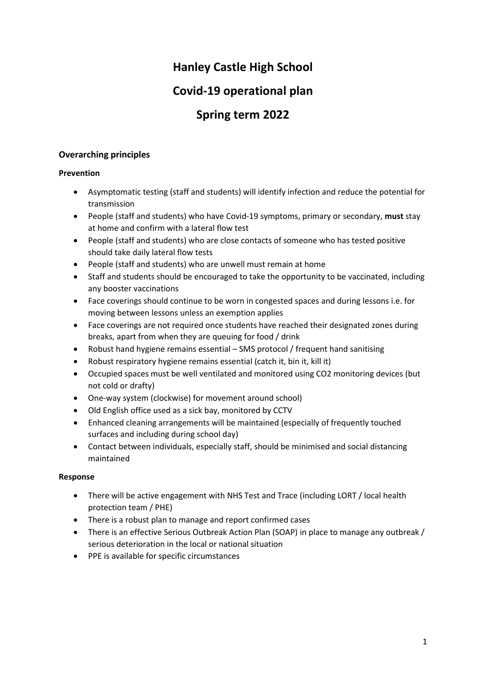# **Hanley Castle High School**

# **Covid-19 operational plan**

# **Spring term 2022**

# **Overarching principles**

# **Prevention**

- Asymptomatic testing (staff and students) will identify infection and reduce the potential for transmission
- People (staff and students) who have Covid-19 symptoms, primary or secondary, **must** stay at home and confirm with a lateral flow test
- People (staff and students) who are close contacts of someone who has tested positive should take daily lateral flow tests
- People (staff and students) who are unwell must remain at home
- Staff and students should be encouraged to take the opportunity to be vaccinated, including any booster vaccinations
- Face coverings should continue to be worn in congested spaces and during lessons i.e. for moving between lessons unless an exemption applies
- Face coverings are not required once students have reached their designated zones during breaks, apart from when they are queuing for food / drink
- Robust hand hygiene remains essential SMS protocol / frequent hand sanitising
- Robust respiratory hygiene remains essential (catch it, bin it, kill it)
- Occupied spaces must be well ventilated and monitored using CO2 monitoring devices (but not cold or drafty)
- One-way system (clockwise) for movement around school)
- Old English office used as a sick bay, monitored by CCTV
- Enhanced cleaning arrangements will be maintained (especially of frequently touched surfaces and including during school day)
- Contact between individuals, especially staff, should be minimised and social distancing maintained

# **Response**

- There will be active engagement with NHS Test and Trace (including LORT / local health protection team / PHE)
- There is a robust plan to manage and report confirmed cases
- There is an effective Serious Outbreak Action Plan (SOAP) in place to manage any outbreak / serious deterioration in the local or national situation
- PPE is available for specific circumstances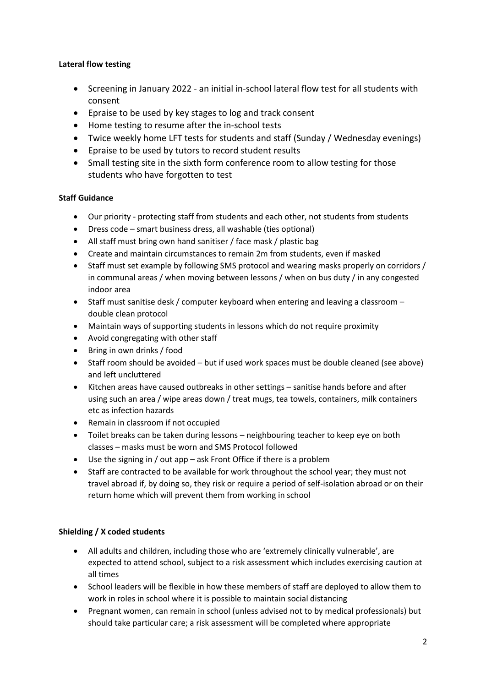# **Lateral flow testing**

- Screening in January 2022 an initial in-school lateral flow test for all students with consent
- Epraise to be used by key stages to log and track consent
- Home testing to resume after the in-school tests
- Twice weekly home LFT tests for students and staff (Sunday / Wednesday evenings)
- Epraise to be used by tutors to record student results
- Small testing site in the sixth form conference room to allow testing for those students who have forgotten to test

# **Staff Guidance**

- Our priority protecting staff from students and each other, not students from students
- Dress code smart business dress, all washable (ties optional)
- All staff must bring own hand sanitiser / face mask / plastic bag
- Create and maintain circumstances to remain 2m from students, even if masked
- Staff must set example by following SMS protocol and wearing masks properly on corridors / in communal areas / when moving between lessons / when on bus duty / in any congested indoor area
- Staff must sanitise desk / computer keyboard when entering and leaving a classroom double clean protocol
- Maintain ways of supporting students in lessons which do not require proximity
- Avoid congregating with other staff
- Bring in own drinks / food
- Staff room should be avoided but if used work spaces must be double cleaned (see above) and left uncluttered
- Kitchen areas have caused outbreaks in other settings sanitise hands before and after using such an area / wipe areas down / treat mugs, tea towels, containers, milk containers etc as infection hazards
- Remain in classroom if not occupied
- Toilet breaks can be taken during lessons neighbouring teacher to keep eye on both classes – masks must be worn and SMS Protocol followed
- Use the signing in / out app ask Front Office if there is a problem
- Staff are contracted to be available for work throughout the school year; they must not travel abroad if, by doing so, they risk or require a period of self-isolation abroad or on their return home which will prevent them from working in school

# **Shielding / X coded students**

- All adults and children, including those who are 'extremely clinically vulnerable', are expected to attend school, subject to a risk assessment which includes exercising caution at all times
- School leaders will be flexible in how these members of staff are deployed to allow them to work in roles in school where it is possible to maintain social distancing
- Pregnant women, can remain in school (unless advised not to by medical professionals) but should take particular care; a risk assessment will be completed where appropriate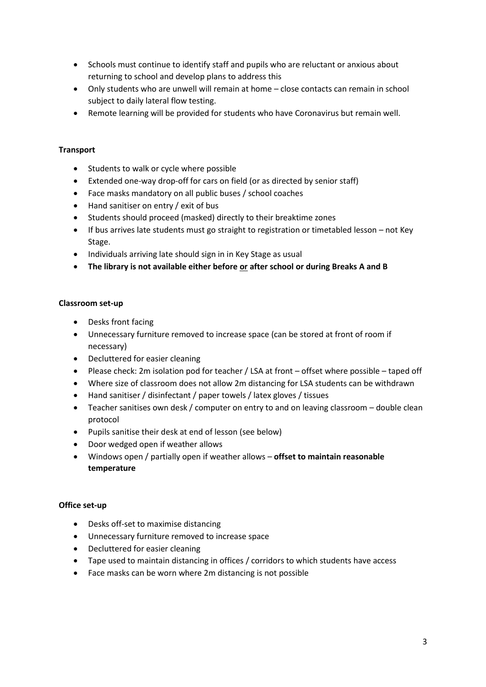- Schools must continue to identify staff and pupils who are reluctant or anxious about returning to school and develop plans to address this
- Only students who are unwell will remain at home close contacts can remain in school subject to daily lateral flow testing.
- Remote learning will be provided for students who have Coronavirus but remain well.

# **Transport**

- Students to walk or cycle where possible
- Extended one-way drop-off for cars on field (or as directed by senior staff)
- Face masks mandatory on all public buses / school coaches
- Hand sanitiser on entry / exit of bus
- Students should proceed (masked) directly to their breaktime zones
- If bus arrives late students must go straight to registration or timetabled lesson not Key Stage.
- Individuals arriving late should sign in in Key Stage as usual
- **The library is not available either before or after school or during Breaks A and B**

#### **Classroom set-up**

- Desks front facing
- Unnecessary furniture removed to increase space (can be stored at front of room if necessary)
- Decluttered for easier cleaning
- Please check: 2m isolation pod for teacher / LSA at front offset where possible taped off
- Where size of classroom does not allow 2m distancing for LSA students can be withdrawn
- Hand sanitiser / disinfectant / paper towels / latex gloves / tissues
- Teacher sanitises own desk / computer on entry to and on leaving classroom double clean protocol
- Pupils sanitise their desk at end of lesson (see below)
- Door wedged open if weather allows
- Windows open / partially open if weather allows **offset to maintain reasonable temperature**

# **Office set-up**

- Desks off-set to maximise distancing
- Unnecessary furniture removed to increase space
- Decluttered for easier cleaning
- Tape used to maintain distancing in offices / corridors to which students have access
- Face masks can be worn where 2m distancing is not possible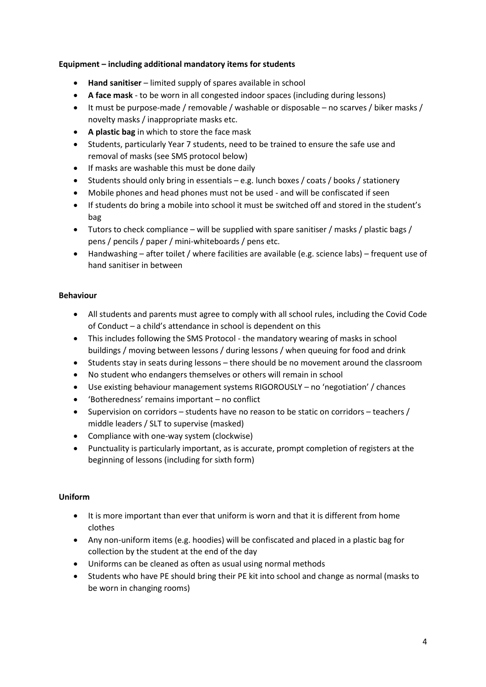# **Equipment – including additional mandatory items for students**

- **Hand sanitiser** limited supply of spares available in school
- **A face mask** to be worn in all congested indoor spaces (including during lessons)
- It must be purpose-made / removable / washable or disposable no scarves / biker masks / novelty masks / inappropriate masks etc.
- **A plastic bag** in which to store the face mask
- Students, particularly Year 7 students, need to be trained to ensure the safe use and removal of masks (see SMS protocol below)
- If masks are washable this must be done daily
- Students should only bring in essentials e.g. lunch boxes / coats / books / stationery
- Mobile phones and head phones must not be used and will be confiscated if seen
- If students do bring a mobile into school it must be switched off and stored in the student's bag
- Tutors to check compliance will be supplied with spare sanitiser / masks / plastic bags / pens / pencils / paper / mini-whiteboards / pens etc.
- Handwashing after toilet / where facilities are available (e.g. science labs) frequent use of hand sanitiser in between

# **Behaviour**

- All students and parents must agree to comply with all school rules, including the Covid Code of Conduct – a child's attendance in school is dependent on this
- This includes following the SMS Protocol the mandatory wearing of masks in school buildings / moving between lessons / during lessons / when queuing for food and drink
- Students stay in seats during lessons there should be no movement around the classroom
- No student who endangers themselves or others will remain in school
- Use existing behaviour management systems RIGOROUSLY no 'negotiation' / chances
- 'Botheredness' remains important no conflict
- Supervision on corridors students have no reason to be static on corridors teachers / middle leaders / SLT to supervise (masked)
- Compliance with one-way system (clockwise)
- Punctuality is particularly important, as is accurate, prompt completion of registers at the beginning of lessons (including for sixth form)

# **Uniform**

- It is more important than ever that uniform is worn and that it is different from home clothes
- Any non-uniform items (e.g. hoodies) will be confiscated and placed in a plastic bag for collection by the student at the end of the day
- Uniforms can be cleaned as often as usual using normal methods
- Students who have PE should bring their PE kit into school and change as normal (masks to be worn in changing rooms)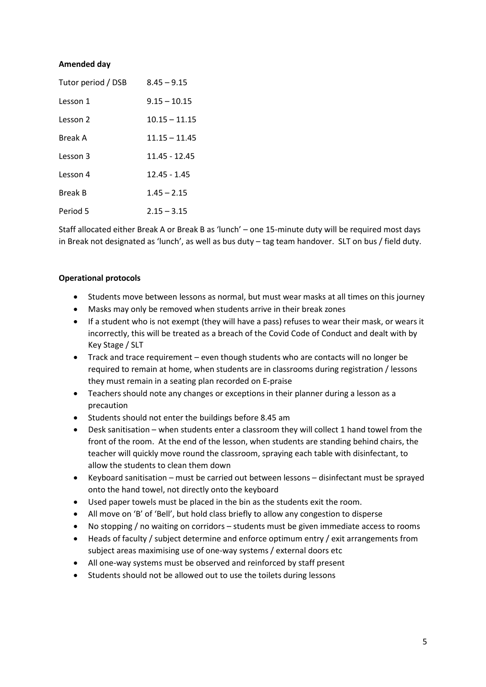### **Amended day**

| Tutor period / DSB | $8.45 - 9.15$   |
|--------------------|-----------------|
| Lesson 1           | $9.15 - 10.15$  |
| Lesson 2           | $10.15 - 11.15$ |
| Break A            | $11.15 - 11.45$ |
| Lesson 3           | 11.45 - 12.45   |
| Lesson 4           | $12.45 - 1.45$  |
| <b>Break B</b>     | $1.45 - 2.15$   |
| Period 5           | $2.15 - 3.15$   |

Staff allocated either Break A or Break B as 'lunch' – one 15-minute duty will be required most days in Break not designated as 'lunch', as well as bus duty – tag team handover. SLT on bus / field duty.

#### **Operational protocols**

- Students move between lessons as normal, but must wear masks at all times on this journey
- Masks may only be removed when students arrive in their break zones
- If a student who is not exempt (they will have a pass) refuses to wear their mask, or wears it incorrectly, this will be treated as a breach of the Covid Code of Conduct and dealt with by Key Stage / SLT
- Track and trace requirement even though students who are contacts will no longer be required to remain at home, when students are in classrooms during registration / lessons they must remain in a seating plan recorded on E-praise
- Teachers should note any changes or exceptions in their planner during a lesson as a precaution
- Students should not enter the buildings before 8.45 am
- Desk sanitisation when students enter a classroom they will collect 1 hand towel from the front of the room. At the end of the lesson, when students are standing behind chairs, the teacher will quickly move round the classroom, spraying each table with disinfectant, to allow the students to clean them down
- Keyboard sanitisation must be carried out between lessons disinfectant must be sprayed onto the hand towel, not directly onto the keyboard
- Used paper towels must be placed in the bin as the students exit the room.
- All move on 'B' of 'Bell', but hold class briefly to allow any congestion to disperse
- No stopping / no waiting on corridors students must be given immediate access to rooms
- Heads of faculty / subject determine and enforce optimum entry / exit arrangements from subject areas maximising use of one-way systems / external doors etc
- All one-way systems must be observed and reinforced by staff present
- Students should not be allowed out to use the toilets during lessons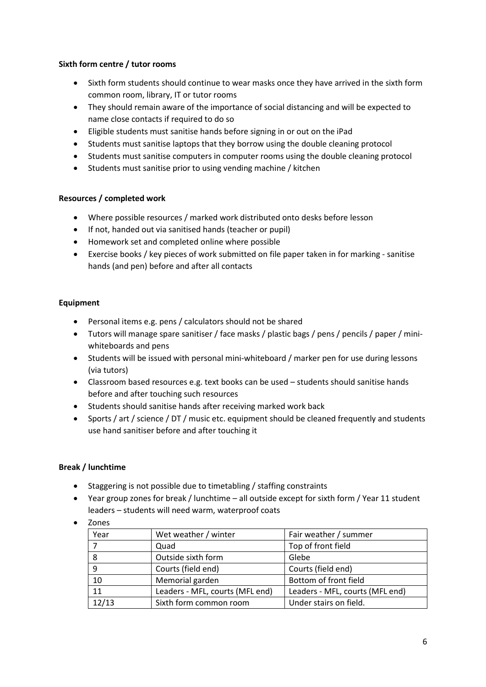# **Sixth form centre / tutor rooms**

- Sixth form students should continue to wear masks once they have arrived in the sixth form common room, library, IT or tutor rooms
- They should remain aware of the importance of social distancing and will be expected to name close contacts if required to do so
- Eligible students must sanitise hands before signing in or out on the iPad
- Students must sanitise laptops that they borrow using the double cleaning protocol
- Students must sanitise computers in computer rooms using the double cleaning protocol
- Students must sanitise prior to using vending machine / kitchen

# **Resources / completed work**

- Where possible resources / marked work distributed onto desks before lesson
- If not, handed out via sanitised hands (teacher or pupil)
- Homework set and completed online where possible
- Exercise books / key pieces of work submitted on file paper taken in for marking sanitise hands (and pen) before and after all contacts

# **Equipment**

- Personal items e.g. pens / calculators should not be shared
- Tutors will manage spare sanitiser / face masks / plastic bags / pens / pencils / paper / miniwhiteboards and pens
- Students will be issued with personal mini-whiteboard / marker pen for use during lessons (via tutors)
- Classroom based resources e.g. text books can be used students should sanitise hands before and after touching such resources
- Students should sanitise hands after receiving marked work back
- Sports / art / science / DT / music etc. equipment should be cleaned frequently and students use hand sanitiser before and after touching it

# **Break / lunchtime**

- Staggering is not possible due to timetabling / staffing constraints
- Year group zones for break / lunchtime all outside except for sixth form / Year 11 student leaders – students will need warm, waterproof coats
- Zones

| Year  | Wet weather / winter            | Fair weather / summer           |
|-------|---------------------------------|---------------------------------|
|       | Quad                            | Top of front field              |
| 8     | Outside sixth form              | Glebe                           |
| 9     | Courts (field end)              | Courts (field end)              |
| 10    | Memorial garden                 | Bottom of front field           |
| 11    | Leaders - MFL, courts (MFL end) | Leaders - MFL, courts (MFL end) |
| 12/13 | Sixth form common room          | Under stairs on field.          |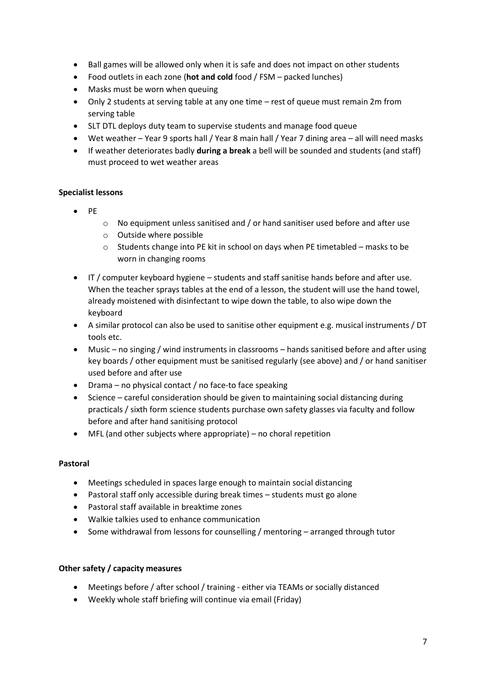- Ball games will be allowed only when it is safe and does not impact on other students
- Food outlets in each zone (**hot and cold** food / FSM packed lunches)
- Masks must be worn when queuing
- Only 2 students at serving table at any one time rest of queue must remain 2m from serving table
- SLT DTL deploys duty team to supervise students and manage food queue
- Wet weather Year 9 sports hall / Year 8 main hall / Year 7 dining area all will need masks
- If weather deteriorates badly **during a break** a bell will be sounded and students (and staff) must proceed to wet weather areas

# **Specialist lessons**

- PE
- o No equipment unless sanitised and / or hand sanitiser used before and after use
- o Outside where possible
- $\circ$  Students change into PE kit in school on days when PE timetabled masks to be worn in changing rooms
- IT / computer keyboard hygiene students and staff sanitise hands before and after use. When the teacher sprays tables at the end of a lesson, the student will use the hand towel, already moistened with disinfectant to wipe down the table, to also wipe down the keyboard
- A similar protocol can also be used to sanitise other equipment e.g. musical instruments / DT tools etc.
- Music no singing / wind instruments in classrooms hands sanitised before and after using key boards / other equipment must be sanitised regularly (see above) and / or hand sanitiser used before and after use
- Drama no physical contact / no face-to face speaking
- Science careful consideration should be given to maintaining social distancing during practicals / sixth form science students purchase own safety glasses via faculty and follow before and after hand sanitising protocol
- MFL (and other subjects where appropriate) no choral repetition

# **Pastoral**

- Meetings scheduled in spaces large enough to maintain social distancing
- Pastoral staff only accessible during break times students must go alone
- Pastoral staff available in breaktime zones
- Walkie talkies used to enhance communication
- Some withdrawal from lessons for counselling / mentoring arranged through tutor

# **Other safety / capacity measures**

- Meetings before / after school / training either via TEAMs or socially distanced
- Weekly whole staff briefing will continue via email (Friday)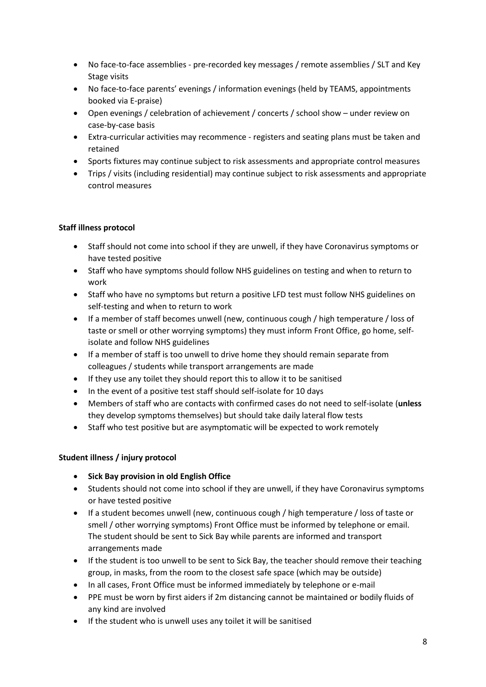- No face-to-face assemblies pre-recorded key messages / remote assemblies / SLT and Key Stage visits
- No face-to-face parents' evenings / information evenings (held by TEAMS, appointments booked via E-praise)
- Open evenings / celebration of achievement / concerts / school show under review on case-by-case basis
- Extra-curricular activities may recommence registers and seating plans must be taken and retained
- Sports fixtures may continue subject to risk assessments and appropriate control measures
- Trips / visits (including residential) may continue subject to risk assessments and appropriate control measures

# **Staff illness protocol**

- Staff should not come into school if they are unwell, if they have Coronavirus symptoms or have tested positive
- Staff who have symptoms should follow NHS guidelines on testing and when to return to work
- Staff who have no symptoms but return a positive LFD test must follow NHS guidelines on self-testing and when to return to work
- If a member of staff becomes unwell (new, continuous cough / high temperature / loss of taste or smell or other worrying symptoms) they must inform Front Office, go home, selfisolate and follow NHS guidelines
- If a member of staff is too unwell to drive home they should remain separate from colleagues / students while transport arrangements are made
- If they use any toilet they should report this to allow it to be sanitised
- In the event of a positive test staff should self-isolate for 10 days
- Members of staff who are contacts with confirmed cases do not need to self-isolate (**unless** they develop symptoms themselves) but should take daily lateral flow tests
- Staff who test positive but are asymptomatic will be expected to work remotely

# **Student illness / injury protocol**

- **Sick Bay provision in old English Office**
- Students should not come into school if they are unwell, if they have Coronavirus symptoms or have tested positive
- If a student becomes unwell (new, continuous cough / high temperature / loss of taste or smell / other worrying symptoms) Front Office must be informed by telephone or email. The student should be sent to Sick Bay while parents are informed and transport arrangements made
- If the student is too unwell to be sent to Sick Bay, the teacher should remove their teaching group, in masks, from the room to the closest safe space (which may be outside)
- In all cases, Front Office must be informed immediately by telephone or e-mail
- PPE must be worn by first aiders if 2m distancing cannot be maintained or bodily fluids of any kind are involved
- If the student who is unwell uses any toilet it will be sanitised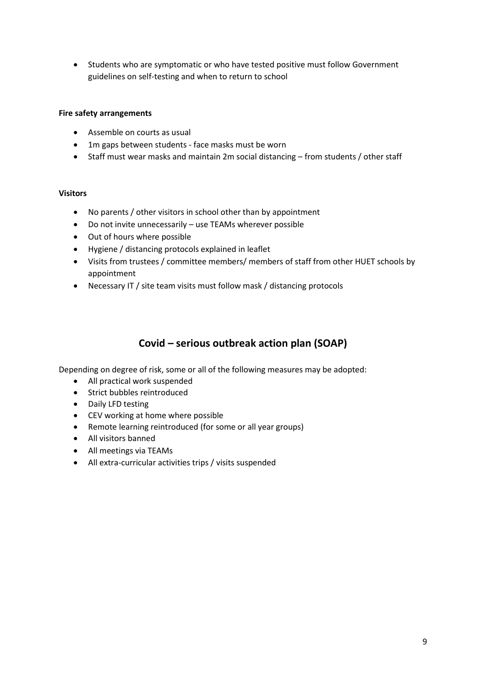• Students who are symptomatic or who have tested positive must follow Government guidelines on self-testing and when to return to school

#### **Fire safety arrangements**

- Assemble on courts as usual
- 1m gaps between students face masks must be worn
- Staff must wear masks and maintain 2m social distancing from students / other staff

#### **Visitors**

- No parents / other visitors in school other than by appointment
- Do not invite unnecessarily use TEAMs wherever possible
- Out of hours where possible
- Hygiene / distancing protocols explained in leaflet
- Visits from trustees / committee members/ members of staff from other HUET schools by appointment
- Necessary IT / site team visits must follow mask / distancing protocols

# **Covid – serious outbreak action plan (SOAP)**

Depending on degree of risk, some or all of the following measures may be adopted:

- All practical work suspended
- Strict bubbles reintroduced
- Daily LFD testing
- CEV working at home where possible
- Remote learning reintroduced (for some or all year groups)
- All visitors banned
- All meetings via TEAMs
- All extra-curricular activities trips / visits suspended